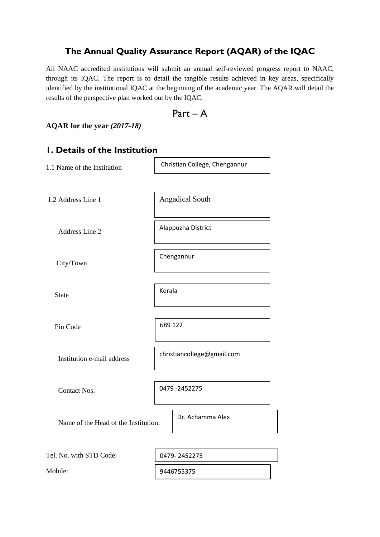### **The Annual Quality Assurance Report (AQAR) of the IQAC**

All NAAC accredited institutions will submit an annual self-reviewed progress report to NAAC, through its IQAC. The report is to detail the tangible results achieved in key areas, specifically identified by the institutional IQAC at the beginning of the academic year. The AQAR will detail the results of the perspective plan worked out by the IQAC.

$$
Part-A
$$

**AQAR for the year** *(2017-18)*

### **1. Details of the Institution**

| 1.1 Name of the Institution          | Christian College, Chengannur |  |  |
|--------------------------------------|-------------------------------|--|--|
|                                      |                               |  |  |
| 1.2 Address Line 1                   | <b>Angadical South</b>        |  |  |
| Address Line 2                       | Alappuzha District            |  |  |
|                                      |                               |  |  |
| City/Town                            | Chengannur                    |  |  |
|                                      |                               |  |  |
| <b>State</b>                         | Kerala                        |  |  |
|                                      | 689 122                       |  |  |
| Pin Code                             |                               |  |  |
| Institution e-mail address           | christiancollege@gmail.com    |  |  |
| Contact Nos.                         | 0479 -2452275                 |  |  |
| Name of the Head of the Institution: | Dr. Achamma Alex              |  |  |
| Tel. No. with STD Code:              |                               |  |  |
|                                      | 0479-2452275                  |  |  |
| Mobile:                              | 9446755375                    |  |  |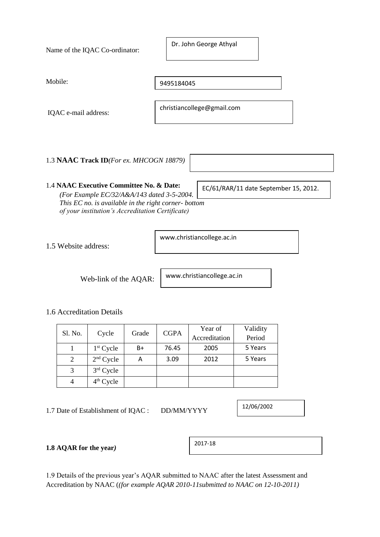| Name of the IQAC Co-ordinator:                                                                                                                                                                    | Dr. John George Athyal                |
|---------------------------------------------------------------------------------------------------------------------------------------------------------------------------------------------------|---------------------------------------|
| Mobile:                                                                                                                                                                                           | 9495184045                            |
| IQAC e-mail address:                                                                                                                                                                              | christiancollege@gmail.com            |
| 1.3 NAAC Track ID(For ex. MHCOGN 18879)                                                                                                                                                           |                                       |
| 1.4 NAAC Executive Committee No. & Date:<br>(For Example EC/32/A&A/143 dated 3-5-2004.<br>This EC no. is available in the right corner-bottom<br>of your institution's Accreditation Certificate) | EC/61/RAR/11 date September 15, 2012. |
| 1.5 Website address:                                                                                                                                                                              | www.christiancollege.ac.in            |

Web-link of the AQAR:

www.christiancollege.ac.in

### 1.6 Accreditation Details

| Sl. No. | Grade       | <b>CGPA</b> | Year of | Validity      |         |
|---------|-------------|-------------|---------|---------------|---------|
|         | Cycle       |             |         | Accreditation | Period  |
|         | $1st$ Cycle | B+          | 76.45   | 2005          | 5 Years |
| 2       | $2nd$ Cycle | A           | 3.09    | 2012          | 5 Years |
|         | $3rd$ Cycle |             |         |               |         |
|         | $4th$ Cycle |             |         |               |         |

1.7 Date of Establishment of IQAC : DD/MM/YYYY

12/06/2002

٦

**1.8 AQAR for the year***)*

| 2017-18 |  |
|---------|--|
|---------|--|

1.9 Details of the previous year's AQAR submitted to NAAC after the latest Assessment and Accreditation by NAAC (*(for example AQAR 2010-11submitted to NAAC on 12-10-2011)*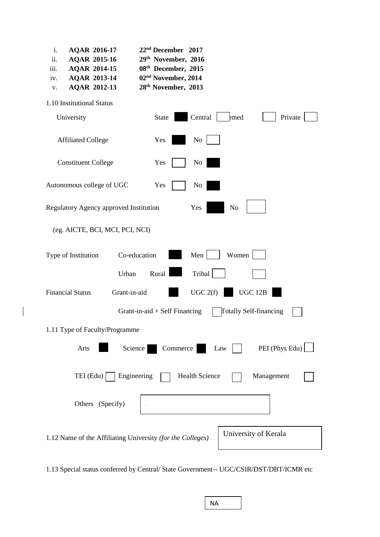| 22 <sup>nd</sup> December 2017<br>i.<br><b>AQAR 2016-17</b><br>ii.<br>29th November, 2016<br><b>AQAR 2015-16</b><br>iii.<br>08th December, 2015<br><b>AQAR 2014-15</b><br>02 <sup>nd</sup> November, 2014<br><b>AQAR 2013-14</b><br>iv.<br>28 <sup>th</sup> November, 2013<br><b>AQAR 2012-13</b><br>V. |  |  |  |  |
|---------------------------------------------------------------------------------------------------------------------------------------------------------------------------------------------------------------------------------------------------------------------------------------------------------|--|--|--|--|
| 1.10 Institutional Status                                                                                                                                                                                                                                                                               |  |  |  |  |
| Central<br>Private<br>University<br>emed<br>State                                                                                                                                                                                                                                                       |  |  |  |  |
| <b>Affiliated College</b><br>N <sub>0</sub><br>Yes                                                                                                                                                                                                                                                      |  |  |  |  |
| <b>Constituent College</b><br>Yes<br>N <sub>0</sub>                                                                                                                                                                                                                                                     |  |  |  |  |
| Autonomous college of UGC<br>Yes<br>No                                                                                                                                                                                                                                                                  |  |  |  |  |
| Regulatory Agency approved Institution<br>Yes<br>N <sub>o</sub>                                                                                                                                                                                                                                         |  |  |  |  |
| (eg. AICTE, BCI, MCI, PCI, NCI)                                                                                                                                                                                                                                                                         |  |  |  |  |
| Men<br>Women<br>Co-education<br>Type of Institution                                                                                                                                                                                                                                                     |  |  |  |  |
| Tribal<br>Rural<br>Urban                                                                                                                                                                                                                                                                                |  |  |  |  |
| UGC 2(f)<br><b>UGC 12B</b><br><b>Financial Status</b><br>Grant-in-aid                                                                                                                                                                                                                                   |  |  |  |  |
| <b>Totally Self-financing</b><br>Grant-in-aid $+$ Self Financing                                                                                                                                                                                                                                        |  |  |  |  |
| 1.11 Type of Faculty/Programme                                                                                                                                                                                                                                                                          |  |  |  |  |
| PEI (Phys Edu)<br>Commerce<br>Science<br>Arts<br>Law                                                                                                                                                                                                                                                    |  |  |  |  |
| $TEI$ (Edu)<br>Engineering<br><b>Health Science</b><br>Management                                                                                                                                                                                                                                       |  |  |  |  |
| Others (Specify)                                                                                                                                                                                                                                                                                        |  |  |  |  |
| University of Kerala<br>1.12 Name of the Affiliating University (for the Colleges)                                                                                                                                                                                                                      |  |  |  |  |

1.13 Special status conferred by Central/ State Government-- UGC/CSIR/DST/DBT/ICMR etc

| ΝA |  |
|----|--|
|    |  |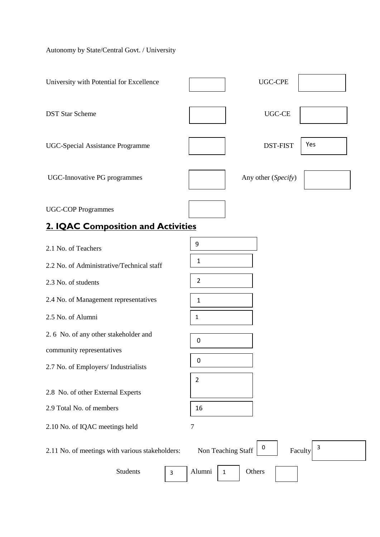# Autonomy by State/Central Govt. / University

| University with Potential for Excellence                          | <b>UGC-CPE</b>                          |
|-------------------------------------------------------------------|-----------------------------------------|
| <b>DST Star Scheme</b>                                            | <b>UGC-CE</b>                           |
| <b>UGC-Special Assistance Programme</b>                           | Yes<br><b>DST-FIST</b>                  |
| UGC-Innovative PG programmes                                      | Any other (Specify)                     |
| <b>UGC-COP Programmes</b>                                         |                                         |
| <b>2. IQAC Composition and Activities</b>                         |                                         |
| 2.1 No. of Teachers                                               | 9                                       |
| 2.2 No. of Administrative/Technical staff                         | $\mathbf{1}$                            |
| 2.3 No. of students                                               | $\overline{2}$                          |
| 2.4 No. of Management representatives                             | $\mathbf{1}$                            |
| 2.5 No. of Alumni                                                 | 1                                       |
| 2.6 No. of any other stakeholder and                              | 0                                       |
| community representatives<br>2.7 No. of Employers/ Industrialists | 0                                       |
| 2.8 No. of other External Experts                                 | $\overline{2}$                          |
| 2.9 Total No. of members                                          | 16                                      |
| 2.10 No. of IQAC meetings held                                    | 7                                       |
| 2.11 No. of meetings with various stakeholders:                   | 3<br>0<br>Non Teaching Staff<br>Faculty |
| <b>Students</b><br>3                                              | Alumni<br>Others<br>$\mathbf{1}$        |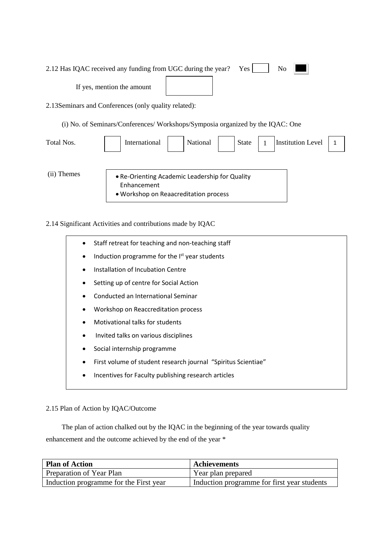|                      | N <sub>o</sub><br>2.12 Has IQAC received any funding from UGC during the year?<br>Yes <sub>1</sub> |
|----------------------|----------------------------------------------------------------------------------------------------|
|                      | If yes, mention the amount                                                                         |
|                      | 2.13 Seminars and Conferences (only quality related):                                              |
|                      | (i) No. of Seminars/Conferences/Workshops/Symposia organized by the IQAC: One                      |
| Total Nos.           | Institution Level<br>International<br>National<br><b>State</b><br>$\overline{1}$                   |
|                      |                                                                                                    |
| <b>Themes</b><br>(11 | • Re-Orienting Academic Leadership for Quality                                                     |

- Enhancement
- Workshop on Reaacreditation process

2.14 Significant Activities and contributions made by IQAC

Staff retreat for teaching and non-teaching staff Induction programme for the I<sup>st</sup> year students • Installation of Incubation Centre Setting up of centre for Social Action • Conducted an International Seminar • Workshop on Reaccreditation process • Motivational talks for students • Invited talks on various disciplines Social internship programme • First volume of student research journal "Spiritus Scientiae" Incentives for Faculty publishing research articles

2.15 Plan of Action by IQAC/Outcome

 The plan of action chalked out by the IQAC in the beginning of the year towards quality enhancement and the outcome achieved by the end of the year \*

| <b>Plan of Action</b>                  | <b>Achievements</b>                         |
|----------------------------------------|---------------------------------------------|
| Preparation of Year Plan               | Year plan prepared                          |
| Induction programme for the First year | Induction programme for first year students |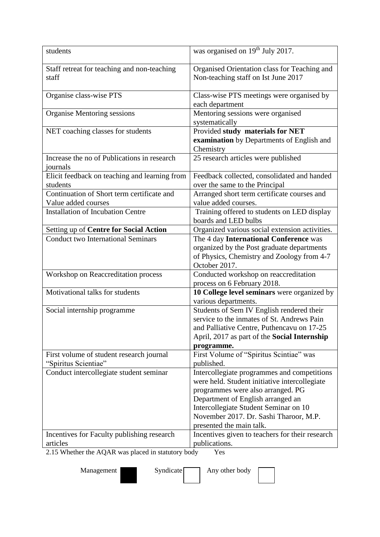| students                                                                                                                 | was organised on 19 <sup>th</sup> July 2017.                                                                                                                                                                                                                                          |
|--------------------------------------------------------------------------------------------------------------------------|---------------------------------------------------------------------------------------------------------------------------------------------------------------------------------------------------------------------------------------------------------------------------------------|
| Staff retreat for teaching and non-teaching<br>staff                                                                     | Organised Orientation class for Teaching and<br>Non-teaching staff on Ist June 2017                                                                                                                                                                                                   |
| Organise class-wise PTS                                                                                                  | Class-wise PTS meetings were organised by<br>each department                                                                                                                                                                                                                          |
| Organise Mentoring sessions                                                                                              | Mentoring sessions were organised<br>systematically                                                                                                                                                                                                                                   |
| NET coaching classes for students                                                                                        | Provided study materials for NET<br>examination by Departments of English and<br>Chemistry                                                                                                                                                                                            |
| Increase the no of Publications in research<br>journals                                                                  | 25 research articles were published                                                                                                                                                                                                                                                   |
| Elicit feedback on teaching and learning from<br>students                                                                | Feedback collected, consolidated and handed<br>over the same to the Principal                                                                                                                                                                                                         |
| Continuation of Short term certificate and<br>Value added courses                                                        | Arranged short term certificate courses and<br>value added courses.                                                                                                                                                                                                                   |
| <b>Installation of Incubation Centre</b>                                                                                 | Training offered to students on LED display<br>boards and LED bulbs                                                                                                                                                                                                                   |
| Setting up of Centre for Social Action                                                                                   | Organized various social extension activities.                                                                                                                                                                                                                                        |
| <b>Conduct two International Seminars</b>                                                                                | The 4 day International Conference was<br>organized by the Post graduate departments<br>of Physics, Chemistry and Zoology from 4-7<br>October 2017.                                                                                                                                   |
| Workshop on Reaccreditation process                                                                                      | Conducted workshop on reaccreditation<br>process on 6 February 2018.                                                                                                                                                                                                                  |
| Motivational talks for students                                                                                          | 10 College level seminars were organized by<br>various departments.                                                                                                                                                                                                                   |
| Social internship programme                                                                                              | Students of Sem IV English rendered their<br>service to the inmates of St. Andrews Pain<br>and Palliative Centre, Puthencavu on 17-25<br>April, 2017 as part of the Social Internship<br>programme.                                                                                   |
| First volume of student research journal<br>"Spiritus Scientiae"                                                         | First Volume of "Spiritus Scintiae" was<br>published.                                                                                                                                                                                                                                 |
| Conduct intercollegiate student seminar                                                                                  | Intercollegiate programmes and competitions<br>were held. Student initiative intercollegiate<br>programmes were also arranged. PG<br>Department of English arranged an<br>Intercollegiate Student Seminar on 10<br>November 2017. Dr. Sashi Tharoor, M.P.<br>presented the main talk. |
| Incentives for Faculty publishing research<br>articles<br>$2.15$ Whother the $\Lambda OAD$ wes pleased in statutory hody | Incentives given to teachers for their research<br>publications.<br>$V_{\alpha}$                                                                                                                                                                                                      |

2.15 Whether the AQAR was placed in statutory body Yes

Management Syndicate Any other body

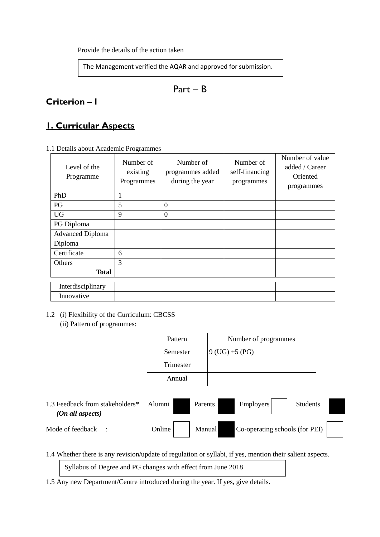Provide the details of the action taken

The Management verified the AQAR and approved for submission.

Part – B

# **Criterion – I**

# **1. Curricular Aspects**

| Level of the<br>Programme | Number of<br>existing<br>Programmes | Number of<br>programmes added<br>during the year | Number of<br>self-financing<br>programmes | Number of value<br>added / Career<br>Oriented<br>programmes |
|---------------------------|-------------------------------------|--------------------------------------------------|-------------------------------------------|-------------------------------------------------------------|
| PhD                       | 1                                   |                                                  |                                           |                                                             |
| PG                        | 5                                   | $\overline{0}$                                   |                                           |                                                             |
| <b>UG</b>                 | 9                                   | $\overline{0}$                                   |                                           |                                                             |
| PG Diploma                |                                     |                                                  |                                           |                                                             |
| <b>Advanced Diploma</b>   |                                     |                                                  |                                           |                                                             |
| Diploma                   |                                     |                                                  |                                           |                                                             |
| Certificate               | 6                                   |                                                  |                                           |                                                             |
| Others                    | 3                                   |                                                  |                                           |                                                             |
| Total                     |                                     |                                                  |                                           |                                                             |
| Interdisciplinary         |                                     |                                                  |                                           |                                                             |
| Innovative                |                                     |                                                  |                                           |                                                             |

### 1.2 (i) Flexibility of the Curriculum: CBCSS

(ii) Pattern of programmes:

| Pattern   | Number of programmes |
|-----------|----------------------|
| Semester  | $9$ (UG) +5 (PG)     |
| Trimester |                      |
| Annual    |                      |

1.3 Feedback from stakeholders\* Alumni Parents Employers Students  *(On all aspects)* Mode of feedback : Online Manual Co-operating schools (for PEI)

1.4 Whether there is any revision/update of regulation or syllabi, if yes, mention their salient aspects.

Syllabus of Degree and PG changes with effect from June 2018

1.5 Any new Department/Centre introduced during the year. If yes, give details.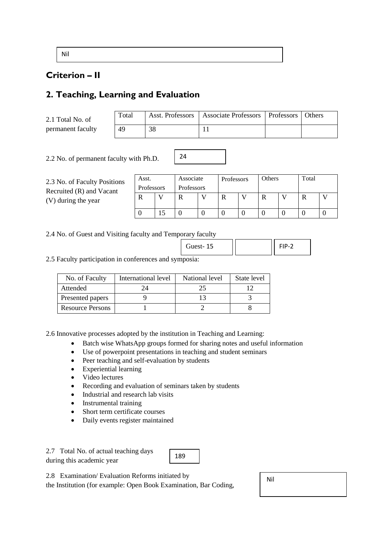Nil

### **Criterion – II**

# **2. Teaching, Learning and Evaluation**

2.1 Total No. of permanent faculty

| Total |            | Asst. Professors   Associate Professors   Professors   Others |  |
|-------|------------|---------------------------------------------------------------|--|
| 49    | $\gamma$ o |                                                               |  |

2.2 No. of permanent faculty with Ph.D.

| 2.3 No. of Faculty Positions |
|------------------------------|
| Recruited (R) and Vacant     |
| (V) during the year          |

| Asst.      | Associate  | Professors | Others | Total |  |
|------------|------------|------------|--------|-------|--|
| Professors | Professors |            |        |       |  |
|            |            |            |        |       |  |
|            |            |            |        |       |  |
|            |            |            |        |       |  |

2.4 No. of Guest and Visiting faculty and Temporary faculty

| Guest-15 |  |
|----------|--|

2.5 Faculty participation in conferences and symposia:

| No. of Faculty          | International level | National level | State level |
|-------------------------|---------------------|----------------|-------------|
| Attended                |                     |                |             |
| Presented papers        |                     |                |             |
| <b>Resource Persons</b> |                     |                |             |

2.6 Innovative processes adopted by the institution in Teaching and Learning:

• Batch wise WhatsApp groups formed for sharing notes and useful information

24

- Use of powerpoint presentations in teaching and student seminars
- Peer teaching and self-evaluation by students
- Experiential learning
- Video lectures
- Recording and evaluation of seminars taken by students
- Industrial and research lab visits
- Instrumental training
- Short term certificate courses
- Daily events register maintained

2.7 Total No. of actual teaching days during this academic year



2.8 Examination/ Evaluation Reforms initiated by

the Institution (for example: Open Book Examination, Bar Coding,

Nil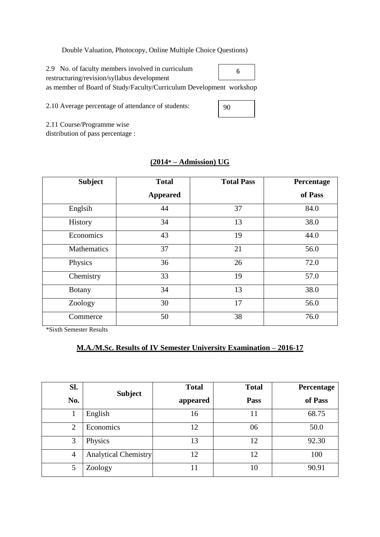### Double Valuation, Photocopy, Online Multiple Choice Questions)

2.9 No. of faculty members involved in curriculum restructuring/revision/syllabus development as member of Board of Study/Faculty/Curriculum Development workshop

2.10 Average percentage of attendance of students:

90

6

2.11 Course/Programme wise

distribution of pass percentage :

| <b>Subject</b>     | <b>Total</b>    | <b>Total Pass</b> | Percentage |
|--------------------|-----------------|-------------------|------------|
|                    | <b>Appeared</b> |                   | of Pass    |
| Englsih            | 44              | 37                | 84.0       |
| History            | 34              | 13                | 38.0       |
| Economics          | 43              | 19                | 44.0       |
| <b>Mathematics</b> | 37              | 21                | 56.0       |
| Physics            | 36              | 26                | 72.0       |
| Chemistry          | 33              | 19                | 57.0       |
| <b>Botany</b>      | 34              | 13                | 38.0       |
| Zoology            | 30              | 17                | 56.0       |
| Commerce           | 50              | 38                | 76.0       |

### **(2014\* – Admission) UG**

\*Sixth Semester Results

### **M.A./M.Sc. Results of IV Semester University Examination – 2016-17**

| SI.            |                             | <b>Total</b> | <b>Total</b> | Percentage |
|----------------|-----------------------------|--------------|--------------|------------|
| No.            | <b>Subject</b>              | appeared     | Pass         | of Pass    |
|                | English                     | 16           | 11           | 68.75      |
| 2              | Economics                   | 12           | 06           | 50.0       |
| 3              | Physics                     | 13           | 12           | 92.30      |
| $\overline{4}$ | <b>Analytical Chemistry</b> | 12           | 12           | 100        |
| 5              | Zoology                     | 11           | 10           | 90.91      |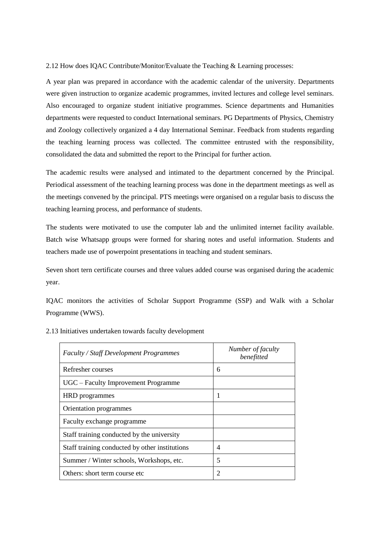2.12 How does IQAC Contribute/Monitor/Evaluate the Teaching & Learning processes:

A year plan was prepared in accordance with the academic calendar of the university. Departments were given instruction to organize academic programmes, invited lectures and college level seminars. Also encouraged to organize student initiative programmes. Science departments and Humanities departments were requested to conduct International seminars. PG Departments of Physics, Chemistry and Zoology collectively organized a 4 day International Seminar. Feedback from students regarding the teaching learning process was collected. The committee entrusted with the responsibility, consolidated the data and submitted the report to the Principal for further action.

The academic results were analysed and intimated to the department concerned by the Principal. Periodical assessment of the teaching learning process was done in the department meetings as well as the meetings convened by the principal. PTS meetings were organised on a regular basis to discuss the teaching learning process, and performance of students.

The students were motivated to use the computer lab and the unlimited internet facility available. Batch wise Whatsapp groups were formed for sharing notes and useful information. Students and teachers made use of powerpoint presentations in teaching and student seminars.

Seven short tern certificate courses and three values added course was organised during the academic year.

IQAC monitors the activities of Scholar Support Programme (SSP) and Walk with a Scholar Programme (WWS).

| <b>Faculty / Staff Development Programmes</b>  | Number of faculty<br>benefitted |
|------------------------------------------------|---------------------------------|
| Refresher courses                              | 6                               |
| UGC – Faculty Improvement Programme            |                                 |
| <b>HRD</b> programmes                          | 1                               |
| Orientation programmes                         |                                 |
| Faculty exchange programme                     |                                 |
| Staff training conducted by the university     |                                 |
| Staff training conducted by other institutions | 4                               |
| Summer / Winter schools, Workshops, etc.       | 5                               |
| Others: short term course etc.                 | $\overline{c}$                  |

2.13 Initiatives undertaken towards faculty development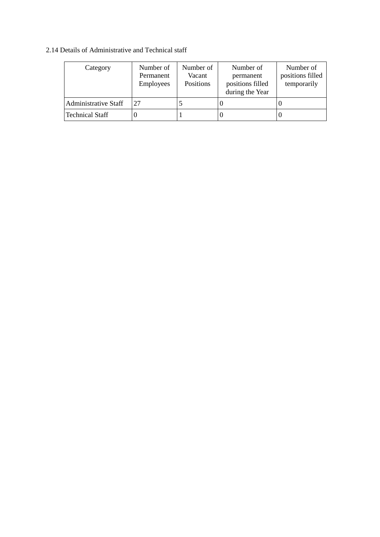### 2.14 Details of Administrative and Technical staff

| Category                    | Number of<br>Permanent<br>Employees | Number of<br>Vacant<br>Positions | Number of<br>permanent<br>positions filled<br>during the Year | Number of<br>positions filled<br>temporarily |
|-----------------------------|-------------------------------------|----------------------------------|---------------------------------------------------------------|----------------------------------------------|
| <b>Administrative Staff</b> | 27                                  |                                  |                                                               |                                              |
| <b>Technical Staff</b>      |                                     |                                  |                                                               |                                              |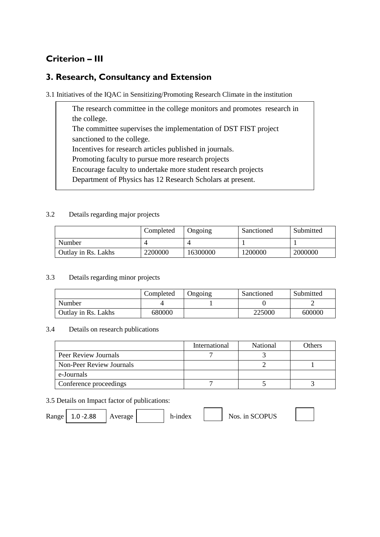# **Criterion – III**

### **3. Research, Consultancy and Extension**

3.1 Initiatives of the IQAC in Sensitizing/Promoting Research Climate in the institution

The research committee in the college monitors and promotes research in the college. The committee supervises the implementation of DST FIST project sanctioned to the college. Incentives for research articles published in journals. Promoting faculty to pursue more research projects Encourage faculty to undertake more student research projects Department of Physics has 12 Research Scholars at present.

### 3.2 Details regarding major projects

|                     | Completed | Ongoing  | Sanctioned | Submitted |
|---------------------|-----------|----------|------------|-----------|
| Number              |           |          |            |           |
| Outlay in Rs. Lakhs | 2200000   | 16300000 | 1200000    | 2000000   |

### 3.3 Details regarding minor projects

|                     | Completed | Ongoing | Sanctioned | Submitted |
|---------------------|-----------|---------|------------|-----------|
| Number              |           |         |            |           |
| Outlay in Rs. Lakhs | 680000    |         | 225000     | 600000    |

### 3.4 Details on research publications

|                          | International | <b>National</b> | Others |
|--------------------------|---------------|-----------------|--------|
| Peer Review Journals     |               |                 |        |
| Non-Peer Review Journals |               |                 |        |
| e-Journals               |               |                 |        |
| Conference proceedings   |               |                 |        |

### 3.5 Details on Impact factor of publications:

Range 1.0 -2.88  $|$  Average h-index  $|$  Nos. in SCOPUS

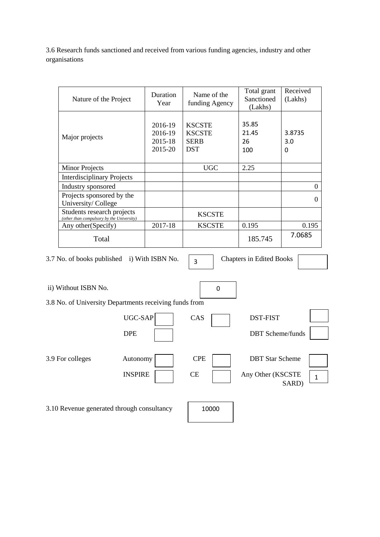3.6 Research funds sanctioned and received from various funding agencies, industry and other organisations

| Nature of the Project                                                   | Duration<br>Year                         | Name of the<br>funding Agency                               | Total grant<br>Sanctioned<br>(Lakhs) | Received<br>(Lakhs) |
|-------------------------------------------------------------------------|------------------------------------------|-------------------------------------------------------------|--------------------------------------|---------------------|
| Major projects                                                          | 2016-19<br>2016-19<br>2015-18<br>2015-20 | <b>KSCSTE</b><br><b>KSCSTE</b><br><b>SERB</b><br><b>DST</b> | 35.85<br>21.45<br>26<br>100          | 3.8735<br>3.0<br>0  |
| <b>Minor Projects</b>                                                   |                                          | <b>UGC</b>                                                  | 2.25                                 |                     |
| <b>Interdisciplinary Projects</b>                                       |                                          |                                                             |                                      |                     |
| Industry sponsored                                                      |                                          |                                                             |                                      | 0                   |
| Projects sponsored by the<br>University/College                         |                                          |                                                             |                                      | $\Omega$            |
| Students research projects<br>(other than compulsory by the University) |                                          | <b>KSCSTE</b>                                               |                                      |                     |
| Any other (Specify)                                                     | 2017-18                                  | <b>KSCSTE</b>                                               | 0.195                                |                     |
| Total                                                                   |                                          |                                                             | 185.745                              | 7.0685              |

3.7 No. of books published i) With ISBN No.  $\begin{array}{|c|c|} \hline 3 & \hline \end{array}$  Chapters in Edited Books

3

ii) Without ISBN No. 3.8 No. of University Departments receiving funds from UGC-SAP CAS DST-FIST DPE DBT Scheme/funds 3.9 For colleges Autonomy CPE DBT Star Scheme INSPIRE CE Any Other (KSCSTE SARD) 3.10 Revenue generated through consultancy 10000 0 1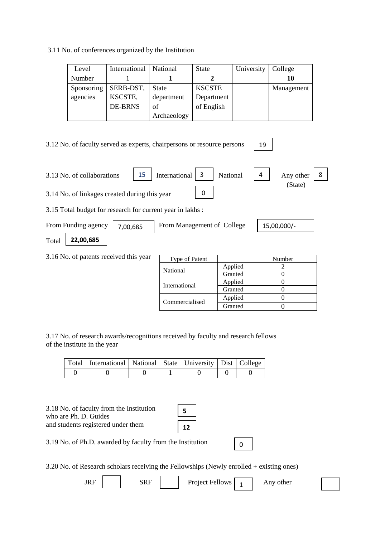3.11 No. of conferences organized by the Institution

| Level      | International  | National     | <b>State</b>  | University | College    |
|------------|----------------|--------------|---------------|------------|------------|
| Number     |                |              |               |            | 10         |
| Sponsoring | SERB-DST,      | <b>State</b> | <b>KSCSTE</b> |            | Management |
| agencies   | KSCSTE,        | department   | Department    |            |            |
|            | <b>DE-BRNS</b> | of           | of English    |            |            |
|            |                | Archaeology  |               |            |            |

3.12 No. of faculty served as experts, chairpersons or resource persons 3.13 No. of collaborations  $\begin{vmatrix} 15 \end{vmatrix}$  International  $\begin{vmatrix} 3 \end{vmatrix}$  National  $\begin{vmatrix} 4 \end{vmatrix}$  Any other (State) 3.14 No. of linkages created during this year 3.15 Total budget for research for current year in lakhs : From Funding agency  $\begin{vmatrix} 7,00,685 \end{vmatrix}$  From Management of College  $\begin{vmatrix} 15,00,000/5 \end{vmatrix}$ Total 3.16 No. of patents received this year Type of Patent Number National Applied 2<br>Granted 0 Granted International Applied 0<br>Granted 0 Granted 19 International 0 **22,00,685** 8

3.17 No. of research awards/recognitions received by faculty and research fellows of the institute in the year

|  | Total   International   National   State   University   Dist   College |  |  |  |
|--|------------------------------------------------------------------------|--|--|--|
|  |                                                                        |  |  |  |

| 3.18 No. of faculty from the Institution |
|------------------------------------------|
| who are Ph. D. Guides                    |
| and students registered under them       |

| 5 |  |
|---|--|
| 7 |  |

3.19 No. of Ph.D. awarded by faculty from the Institution

3.20 No. of Research scholars receiving the Fellowships (Newly enrolled + existing ones)

| <br>, , , , | ۰ю<br>ື້ | Project<br><b>Fellows</b><br>. . | other<br>Ally |
|-------------|----------|----------------------------------|---------------|

0

Commercialised Applied 0<br>Granted 0 Granted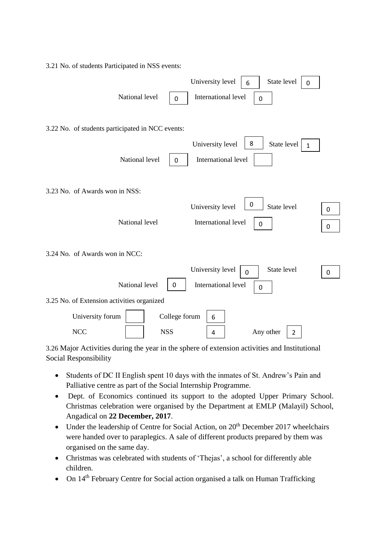3.21 No. of students Participated in NSS events: University level  $\begin{array}{|c|c|} \hline 6 & 5 \end{array}$  State level National level  $\begin{vmatrix} 1 & 1 \\ 0 & 1 \end{vmatrix}$  International level 3.22 No. of students participated in NCC events: University level  $\vert$  8 National level  $\begin{vmatrix} 0 & \end{vmatrix}$  International level 3.23 No. of Awards won in NSS: University level  $\begin{bmatrix} 0 \\ \end{bmatrix}$  State level National level **International level** 3.24 No. of Awards won in NCC: University level  $\boxed{\ }$ National level  $\begin{bmatrix} 0 \\ \end{bmatrix}$  International level  $\begin{bmatrix} 0 \\ \end{bmatrix}$ 3.25 No. of Extension activities organized University forum College forum NCC | | NSS | 4 | Any other | 2 6  $\Omega$  $\Omega$  $\Omega$ State level  $\begin{array}{|c|c|}$  1 0 0 0 0  $\Omega$ State level  $\begin{array}{|c|c|} \hline \text{0} & \text{0} \end{array}$ 6

3.26 Major Activities during the year in the sphere of extension activities and Institutional Social Responsibility

- Students of DC II English spent 10 days with the inmates of St. Andrew's Pain and Palliative centre as part of the Social Internship Programme.
- Dept. of Economics continued its support to the adopted Upper Primary School. Christmas celebration were organised by the Department at EMLP (Malayil) School, Angadical on **22 December, 2017**.
- Under the leadership of Centre for Social Action, on  $20<sup>th</sup>$  December 2017 wheelchairs were handed over to paraplegics. A sale of different products prepared by them was organised on the same day.
- Christmas was celebrated with students of 'Thejas', a school for differently able children.
- On 14<sup>th</sup> February Centre for Social action organised a talk on Human Trafficking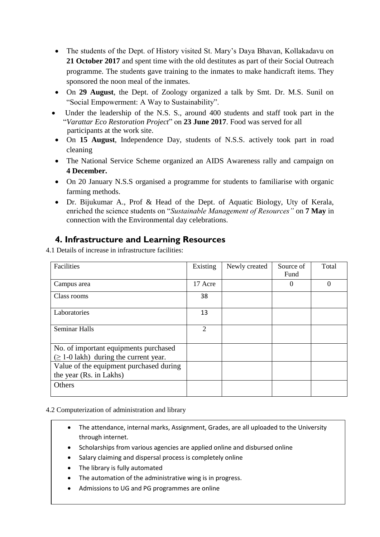- The students of the Dept. of History visited St. Mary's Daya Bhavan, Kollakadavu on 21 October 2017 and spent time with the old destitutes as part of their Social Outreach programme. The students gave training to the inmates to make handicraft items. They sponsored the noon meal of the inmates.
- On **29 August**, the Dept. of Zoology organized a talk by Smt. Dr. M.S. Sunil on "Social Empowerment: A Way to Sustainability".
- Under the leadership of the N.S. S., around 400 students and staff took part in the "*Varattar Eco Restoration Project*" on **23 June 2017**. Food was served for all participants at the work site.
- On **15 August**, Independence Day, students of N.S.S. actively took part in road cleaning
- The National Service Scheme organized an AIDS Awareness rally and campaign on **4 December.**
- On 20 January N.S.S organised a programme for students to familiarise with organic farming methods.
- Dr. Bijukumar A., Prof & Head of the Dept. of Aquatic Biology, Uty of Kerala, enriched the science students on "*Sustainable Management of Resources"* on **7 May** in connection with the Environmental day celebrations.

### **4. Infrastructure and Learning Resources**

4.1 Details of increase in infrastructure facilities:

| Facilities                                  | Existing       | Newly created | Source of | Total    |
|---------------------------------------------|----------------|---------------|-----------|----------|
|                                             |                |               | Fund      |          |
| Campus area                                 | 17 Acre        |               | $\Omega$  | $\theta$ |
| Class rooms                                 | 38             |               |           |          |
| Laboratories                                | 13             |               |           |          |
| <b>Seminar Halls</b>                        | $\overline{2}$ |               |           |          |
| No. of important equipments purchased       |                |               |           |          |
| $(\geq 1$ -0 lakh) during the current year. |                |               |           |          |
| Value of the equipment purchased during     |                |               |           |          |
| the year (Rs. in Lakhs)                     |                |               |           |          |
| Others                                      |                |               |           |          |

4.2 Computerization of administration and library

- The attendance, internal marks, Assignment, Grades, are all uploaded to the University through internet.
- Scholarships from various agencies are applied online and disbursed online
- Salary claiming and dispersal process is completely online
- The library is fully automated
- The automation of the administrative wing is in progress.
- Admissions to UG and PG programmes are online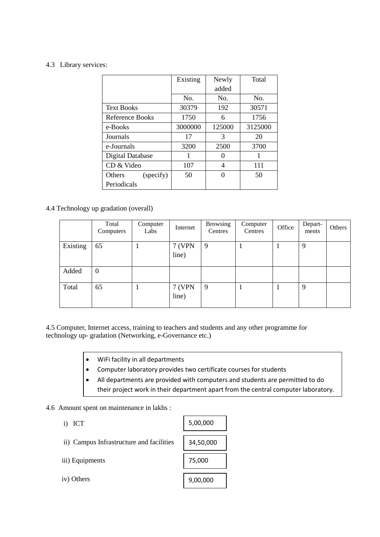#### 4.3 Library services:

|                     | Existing | Newly  | Total   |
|---------------------|----------|--------|---------|
|                     |          | added  |         |
|                     | No.      | No.    | No.     |
| <b>Text Books</b>   | 30379    | 192    | 30571   |
| Reference Books     | 1750     | 6      | 1756    |
| e-Books             | 3000000  | 125000 | 3125000 |
| Journals            | 17       | 3      | 20      |
| e-Journals          | 3200     | 2500   | 3700    |
| Digital Database    | 1        | 0      | 1       |
| CD & Video          | 107      | 4      | 111     |
| Others<br>(specify) | 50       | ∩      | 50      |
| Periodicals         |          |        |         |

### 4.4 Technology up gradation (overall)

|          | Total<br>Computers | Computer<br>Labs | Internet               | <b>Browsing</b><br>Centres | Computer<br>Centres | Office | Depart-<br>ments | Others |
|----------|--------------------|------------------|------------------------|----------------------------|---------------------|--------|------------------|--------|
| Existing | 65                 |                  | 7 (VPN<br>line)        | 9                          |                     |        | 9                |        |
| Added    | $\boldsymbol{0}$   |                  |                        |                            |                     |        |                  |        |
| Total    | 65                 |                  | <b>7 (VPN</b><br>line) | 9                          |                     |        | 9                |        |

4.5 Computer, Internet access, training to teachers and students and any other programme for technology up- gradation (Networking, e-Governance etc.)

- WiFi facility in all departments
- Computer laboratory provides two certificate courses for students
- All departments are provided with computers and students are permitted to do their project work in their department apart from the central computer laboratory.

### 4.6 Amount spent on maintenance in lakhs :

| i) ICT                                   | 5,00,000  |
|------------------------------------------|-----------|
| ii) Campus Infrastructure and facilities | 34,50,000 |
| iii) Equipments                          | 75,000    |
| iv) Others                               | 9,00,000  |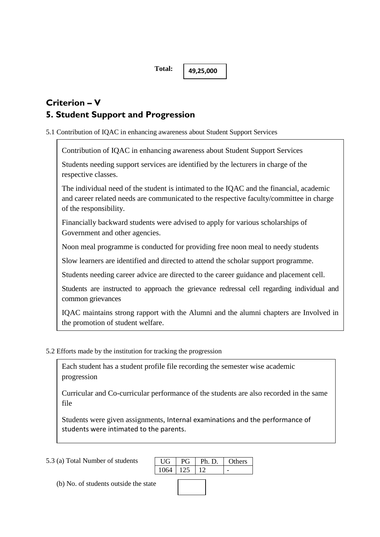**49,25,000**

# **Criterion – V 5. Student Support and Progression**

5.1 Contribution of IQAC in enhancing awareness about Student Support Services

Contribution of IQAC in enhancing awareness about Student Support Services

Students needing support services are identified by the lecturers in charge of the respective classes.

The individual need of the student is intimated to the IQAC and the financial, academic and career related needs are communicated to the respective faculty/committee in charge of the responsibility.

Financially backward students were advised to apply for various scholarships of Government and other agencies.

Noon meal programme is conducted for providing free noon meal to needy students

Slow learners are identified and directed to attend the scholar support programme.

Students needing career advice are directed to the career guidance and placement cell.

Students are instructed to approach the grievance redressal cell regarding individual and common grievances

IQAC maintains strong rapport with the Alumni and the alumni chapters are Involved in the promotion of student welfare.

5.2 Efforts made by the institution for tracking the progression

Each student has a student profile file recording the semester wise academic progression

Curricular and Co-curricular performance of the students are also recorded in the same file

Students were given assignments, Internal examinations and the performance of students were intimated to the parents.

The results of end semester examinations were analysed and compared with  $\alpha$ 

5.3 (a) Total Number of students

UG PG Ph. D. Others 1064 125 12 university average and results of nearby colleges.

(b) No. of students outside the state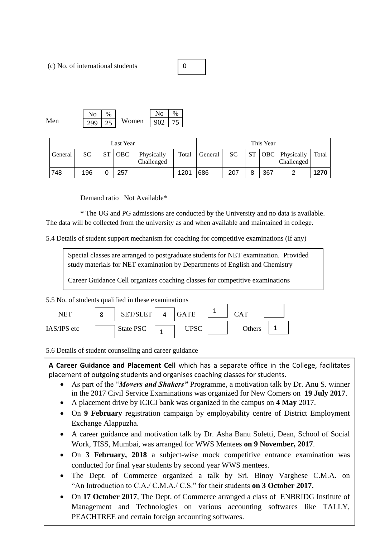(c) No. of international students

0

Men  $\sqrt{299}$   $25$  Women  $No$ 299  $\overline{\text{No}}$  \  $\%$ 902 75

| Last Year |     |           |            |                          | This Year |         |     |           |     |                                     |       |
|-----------|-----|-----------|------------|--------------------------|-----------|---------|-----|-----------|-----|-------------------------------------|-------|
| General   | SС  | <b>ST</b> | <b>OBC</b> | Physically<br>Challenged | Total     | General | SC. | <b>ST</b> |     | <b>OBC</b> Physically<br>Challenged | Total |
| 748       | 196 |           | 257        |                          | 1201      | 686     | 207 | 8         | 367 |                                     | 1270  |

Demand ratio Not Available\*

\* The UG and PG admissions are conducted by the University and no data is available. The data will be collected from the university as and when available and maintained in college.

5.4 Details of student support mechanism for coaching for competitive examinations (If any)

Special classes are arranged to postgraduate students for NET examination. Provided study materials for NET examination by Departments of English and Chemistry

Career Guidance Cell organizes coaching classes for competitive examinations

5.5 No. of students qualified in these examinations



5.6 Details of student counselling and career guidance

**A Career Guidance and Placement Cell** which has a separate office in the College, facilitates placement of outgoing students and organises coaching classes for students.

- As part of the "*Movers and Shakers"* Programme, a motivation talk by Dr. Anu S. winner in the 2017 Civil Service Examinations was organized for New Comers on **19 July 2017**.
- A placement drive by ICICI bank was organized in the campus on **4 May** 2017.
- On **9 February** registration campaign by employability centre of District Employment Exchange Alappuzha.
- A career guidance and motivation talk by Dr. Asha Banu Soletti, Dean, School of Social Work, TISS, Mumbai, was arranged for WWS Mentees **on 9 November, 2017**.
- On **3 February, 2018** a subject-wise mock competitive entrance examination was conducted for final year students by second year WWS mentees.
- The Dept. of Commerce organized a talk by Sri. Binoy Varghese C.M.A. on "An Introduction to C.A./ C.M.A./ C.S." for their students **on 3 October 2017.**
- On **17 October 2017**, The Dept. of Commerce arranged a class of ENBRIDG Institute of Management and Technologies on various accounting softwares like TALLY, PEACHTREE and certain foreign accounting softwares.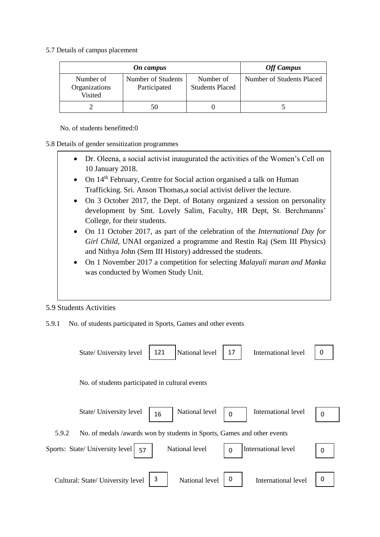5.7 Details of campus placement

| On campus                             |                                    | <b>Off Campus</b>                   |                           |
|---------------------------------------|------------------------------------|-------------------------------------|---------------------------|
| Number of<br>Organizations<br>Visited | Number of Students<br>Participated | Number of<br><b>Students Placed</b> | Number of Students Placed |
|                                       | 50                                 |                                     |                           |

No. of students benefitted:0

### 5.8 Details of gender sensitization programmes

- Dr. Oleena, a social activist inaugurated the activities of the Women's Cell on 10 January 2018.
- On 14<sup>th</sup> February, Centre for Social action organised a talk on Human Trafficking. Sri. Anson Thomas,a social activist deliver the lecture.
- On 3 October 2017, the Dept. of Botany organized a session on personality development by Smt. Lovely Salim, Faculty, HR Dept, St. Berchmanns' College, for their students.
- On 11 October 2017, as part of the celebration of the *International Day for Girl Child*, UNAI organized a programme and Restin Raj (Sem III Physics) and Nithya John (Sem III History) addressed the students.
- On 1 November 2017 a competition for selecting *Malayali maran and Manka*  was conducted by Women Study Unit.

### 5.9 Students Activities

5.9.1 No. of students participated in Sports, Games and other events

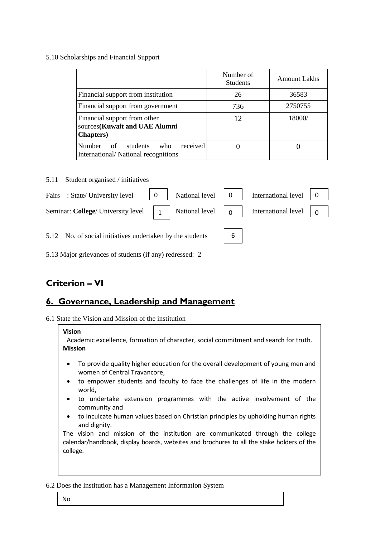#### 5.10 Scholarships and Financial Support

|                                                                                    | Number of<br><b>Students</b> | <b>Amount Lakhs</b> |
|------------------------------------------------------------------------------------|------------------------------|---------------------|
| Financial support from institution                                                 | 26                           | 36583               |
| Financial support from government                                                  | 736                          | 2750755             |
| Financial support from other<br>sources(Kuwait and UAE Alumni<br><b>Chapters</b> ) | 12                           | 18000/              |
| Number<br>received<br>students<br>of<br>who<br>International/National recognitions |                              |                     |

#### 5.11 Student organised / initiatives

| Fairs : State/University level 0 National level 0 International level 0                                                                                                                    |  |  |  |
|--------------------------------------------------------------------------------------------------------------------------------------------------------------------------------------------|--|--|--|
| Seminar: College/ University level $\begin{vmatrix} 1 \\ 1 \end{vmatrix}$ National level $\begin{vmatrix} 0 \\ 1 \end{vmatrix}$ International level $\begin{vmatrix} 0 \\ 0 \end{vmatrix}$ |  |  |  |
| 5.12 No. of social initiatives undertaken by the students   6                                                                                                                              |  |  |  |

5.13 Major grievances of students (if any) redressed: 2

# **Criterion – VI**

### **6. Governance, Leadership and Management**

6.1 State the Vision and Mission of the institution

# **Vision** Academic excellence, formation of character, social commitment and search for truth. **Mission**

- To provide quality higher education for the overall development of young men and women of Central Travancore,
- to empower students and faculty to face the challenges of life in the modern world,
- to undertake extension programmes with the active involvement of the community and
- to inculcate human values based on Christian principles by upholding human rights and dignity.

The vision and mission of the institution are communicated through the college calendar/handbook, display boards, websites and brochures to all the stake holders of the college.

6.2 Does the Institution has a Management Information System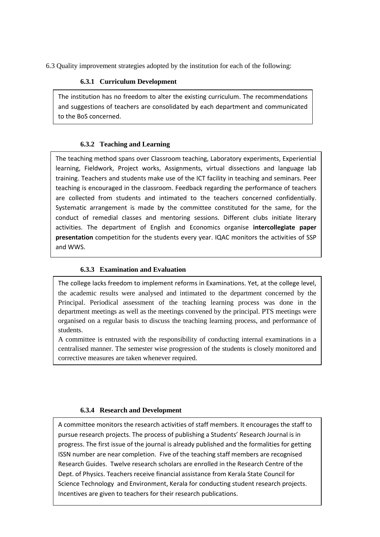6.3 Quality improvement strategies adopted by the institution for each of the following:

### **6.3.1 Curriculum Development**

The institution has no freedom to alter the existing curriculum. The recommendations and suggestions of teachers are consolidated by each department and communicated to the BoS concerned.

### **6.3.2 Teaching and Learning**

The teaching method spans over Classroom teaching, Laboratory experiments, Experiential learning, Fieldwork, Project works, Assignments, virtual dissections and language lab training. Teachers and students make use of the ICT facility in teaching and seminars. Peer teaching is encouraged in the classroom. Feedback regarding the performance of teachers are collected from students and intimated to the teachers concerned confidentially. Systematic arrangement is made by the committee constituted for the same, for the conduct of remedial classes and mentoring sessions. Different clubs initiate literary activities. The department of English and Economics organise **intercollegiate paper presentation** competition for the students every year. IQAC monitors the activities of SSP and WWS.

### **6.3.3 Examination and Evaluation**

The college lacks freedom to implement reforms in Examinations. Yet, at the college level, the academic results were analysed and intimated to the department concerned by the Principal. Periodical assessment of the teaching learning process was done in the department meetings as well as the meetings convened by the principal. PTS meetings were organised on a regular basis to discuss the teaching learning process, and performance of students.

A committee is entrusted with the responsibility of conducting internal examinations in a centralised manner. The semester wise progression of the students is closely monitored and corrective measures are taken whenever required.

### **6.3.4 Research and Development**

A committee monitors the research activities of staff members. It encourages the staff to pursue research projects. The process of publishing a Students' Research Journal is in progress. The first issue of the journal is already published and the formalities for getting ISSN number are near completion. Five of the teaching staff members are recognised Research Guides. Twelve research scholars are enrolled in the Research Centre of the Dept. of Physics. Teachers receive financial assistance from Kerala State Council for Science Technology and Environment, Kerala for conducting student research projects. Incentives are given to teachers for their research publications.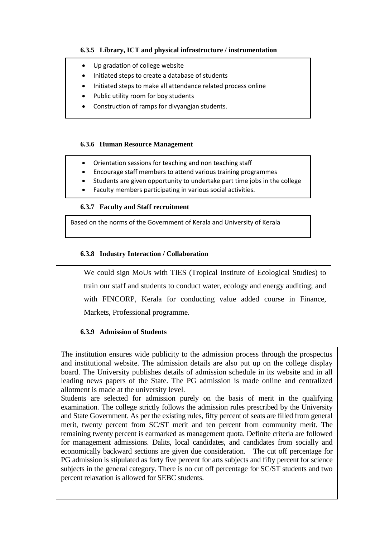### **6.3.5 Library, ICT and physical infrastructure / instrumentation**

- Up gradation of college website
- Initiated steps to create a database of students
- Initiated steps to make all attendance related process online
- Public utility room for boy students
- Construction of ramps for divyangjan students.

### **6.3.6 Human Resource Management**

- Orientation sessions for teaching and non teaching staff
- Encourage staff members to attend various training programmes
- Students are given opportunity to undertake part time jobs in the college
- Faculty members participating in various social activities.

### **6.3.7 Faculty and Staff recruitment**

Based on the norms of the Government of Kerala and University of Kerala

### **6.3.8 Industry Interaction / Collaboration**

We could sign MoUs with TIES (Tropical Institute of Ecological Studies) to train our staff and students to conduct water, ecology and energy auditing; and with FINCORP, Kerala for conducting value added course in Finance, Markets, Professional programme.

### **6.3.9 Admission of Students**

The institution ensures wide publicity to the admission process through the prospectus and institutional website. The admission details are also put up on the college display board. The University publishes details of admission schedule in its website and in all leading news papers of the State. The PG admission is made online and centralized allotment is made at the university level.

Students are selected for admission purely on the basis of merit in the qualifying examination. The college strictly follows the admission rules prescribed by the University and State Government. As per the existing rules, fifty percent of seats are filled from general merit, twenty percent from SC/ST merit and ten percent from community merit. The remaining twenty percent is earmarked as management quota. Definite criteria are followed for management admissions. Dalits, local candidates, and candidates from socially and economically backward sections are given due consideration. The cut off percentage for PG admission is stipulated as forty five percent for arts subjects and fifty percent for science subjects in the general category. There is no cut off percentage for SC/ST students and two percent relaxation is allowed for SEBC students.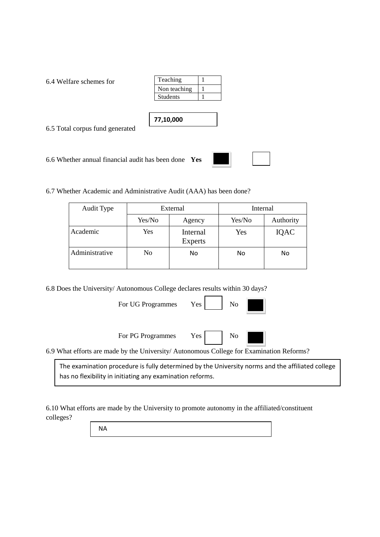6.4 Welfare schemes for

| Teaching        |  |
|-----------------|--|
| Non teaching    |  |
| <b>Students</b> |  |
|                 |  |

**77,10,000**

6.5 Total corpus fund generated

6.6 Whether annual financial audit has been done **Yes**



6.7 Whether Academic and Administrative Audit (AAA) has been done?

| Audit Type     | External |                            | Internal |           |  |
|----------------|----------|----------------------------|----------|-----------|--|
|                | Yes/No   | Agency                     | Yes/No   | Authority |  |
| Academic       | Yes      | Internal<br><b>Experts</b> | Yes      | IQAC      |  |
| Administrative | No       | No                         | No       | No        |  |

6.8 Does the University/ Autonomous College declares results within 30 days?

For UG Programmes Yes

| ۰. |  |
|----|--|
|    |  |

For PG Programmes Yes No



6.9 What efforts are made by the University/ Autonomous College for Examination Reforms?

The examination procedure is fully determined by the University norms and the affiliated college has no flexibility in initiating any examination reforms.

6.10 What efforts are made by the University to promote autonomy in the affiliated/constituent colleges?

NA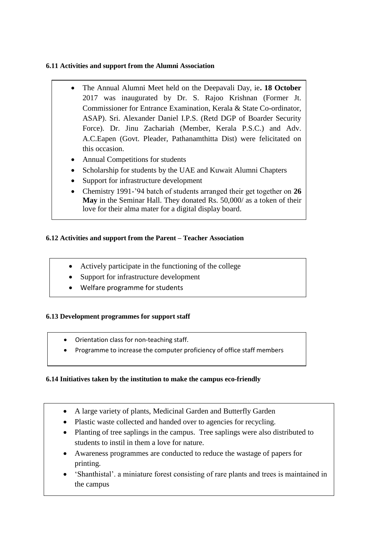### **6.11 Activities and support from the Alumni Association**

- The Annual Alumni Meet held on the Deepavali Day, ie**. 18 October** 2017 was inaugurated by Dr. S. Rajoo Krishnan (Former Jt. Commissioner for Entrance Examination, Kerala & State Co-ordinator, ASAP). Sri. Alexander Daniel I.P.S. (Retd DGP of Boarder Security Force). Dr. Jinu Zachariah (Member, Kerala P.S.C.) and Adv. A.C.Eapen (Govt. Pleader, Pathanamthitta Dist) were felicitated on this occasion.
- Annual Competitions for students
- Scholarship for students by the UAE and Kuwait Alumni Chapters
- Support for infrastructure development
- Chemistry 1991-'94 batch of students arranged their get together on **26 May** in the Seminar Hall. They donated Rs. 50,000/ as a token of their love for their alma mater for a digital display board.

### **6.12 Activities and support from the Parent – Teacher Association**

- Actively participate in the functioning of the college
- Support for infrastructure development
- Welfare programme for students

### **6.13 Development programmes for support staff**

- Orientation class for non-teaching staff.
- Programme to increase the computer proficiency of office staff members

### **6.14 Initiatives taken by the institution to make the campus eco-friendly**

- A large variety of plants, Medicinal Garden and Butterfly Garden
- Plastic waste collected and handed over to agencies for recycling.
- Planting of tree saplings in the campus. Tree saplings were also distributed to students to instil in them a love for nature.
- Awareness programmes are conducted to reduce the wastage of papers for printing.
- 'Shanthistal'. a miniature forest consisting of rare plants and trees is maintained in the campus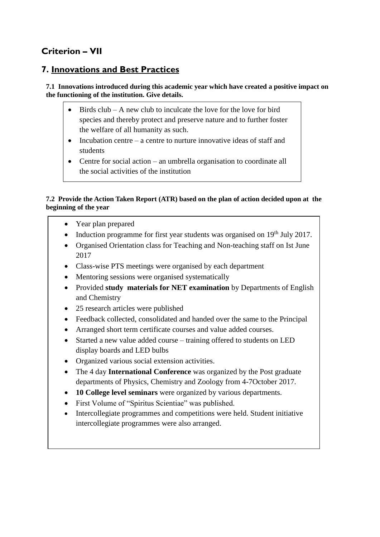# **Criterion – VII**

### **7. Innovations and Best Practices**

**7.1 Innovations introduced during this academic year which have created a positive impact on the functioning of the institution. Give details.**

- Birds  $club A$  new club to inculcate the love for the love for bird species and thereby protect and preserve nature and to further foster the welfare of all humanity as such.
- Incubation centre a centre to nurture innovative ideas of staff and students
- Centre for social action an umbrella organisation to coordinate all the social activities of the institution

### **7.2 Provide the Action Taken Report (ATR) based on the plan of action decided upon at the beginning of the year**

- Year plan prepared
- Induction programme for first year students was organised on  $19<sup>th</sup>$  July 2017.
- Organised Orientation class for Teaching and Non-teaching staff on Ist June 2017
- Class-wise PTS meetings were organised by each department
- Mentoring sessions were organised systematically
- Provided **study materials for NET examination** by Departments of English and Chemistry
- 25 research articles were published
- Feedback collected, consolidated and handed over the same to the Principal
- Arranged short term certificate courses and value added courses.
- Started a new value added course training offered to students on LED display boards and LED bulbs
- Organized various social extension activities.
- The 4 day **International Conference** was organized by the Post graduate departments of Physics, Chemistry and Zoology from 4-7October 2017.
- **10 College level seminars** were organized by various departments.
- First Volume of "Spiritus Scientiae" was published.
- Intercollegiate programmes and competitions were held. Student initiative intercollegiate programmes were also arranged.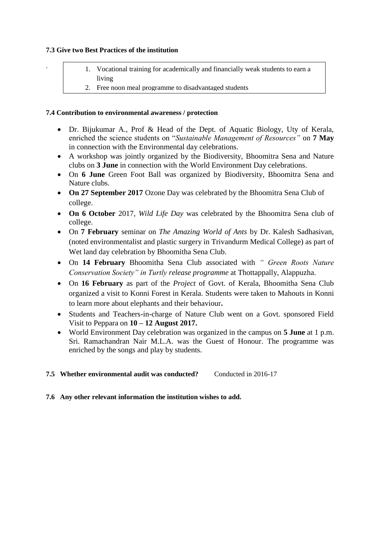### **7.3 Give two Best Practices of the institution**

.

- 1. Vocational training for academically and financially weak students to earn a living
- 2. Free noon meal programme to disadvantaged students

### **7.4 Contribution to environmental awareness / protection**

- Dr. Bijukumar A., Prof & Head of the Dept. of Aquatic Biology, Uty of Kerala, enriched the science students on "*Sustainable Management of Resources"* on **7 May** in connection with the Environmental day celebrations.
- A workshop was jointly organized by the Biodiversity, Bhoomitra Sena and Nature clubs on **3 June** in connection with the World Environment Day celebrations.
- On **6 June** Green Foot Ball was organized by Biodiversity, Bhoomitra Sena and Nature clubs.
- **On 27 September 2017** Ozone Day was celebrated by the Bhoomitra Sena Club of college.
- **On 6 October** 2017, *Wild Life Day* was celebrated by the Bhoomitra Sena club of college.
- On **7 February** seminar on *The Amazing World of Ants* by Dr. Kalesh Sadhasivan, (noted environmentalist and plastic surgery in Trivandurm Medical College) as part of Wet land day celebration by Bhoomitha Sena Club.
- On **14 February** Bhoomitha Sena Club associated with *" Green Roots Nature Conservation Society" in Turtly release programme* at Thottappally, Alappuzha.
- On **16 February** as part of the *Project* of Govt. of Kerala, Bhoomitha Sena Club organized a visit to Konni Forest in Kerala. Students were taken to Mahouts in Konni to learn more about elephants and their behaviour**.**
- Students and Teachers-in-charge of Nature Club went on a Govt. sponsored Field Visit to Peppara on **10 – 12 August 2017.**
- World Environment Day celebration was organized in the campus on **5 June** at 1 p.m. Sri. Ramachandran Nair M.L.A. was the Guest of Honour. The programme was enriched by the songs and play by students.

### **7.5 Whether environmental audit was conducted?** Conducted in 2016-17

### **7.6 Any other relevant information the institution wishes to add.**